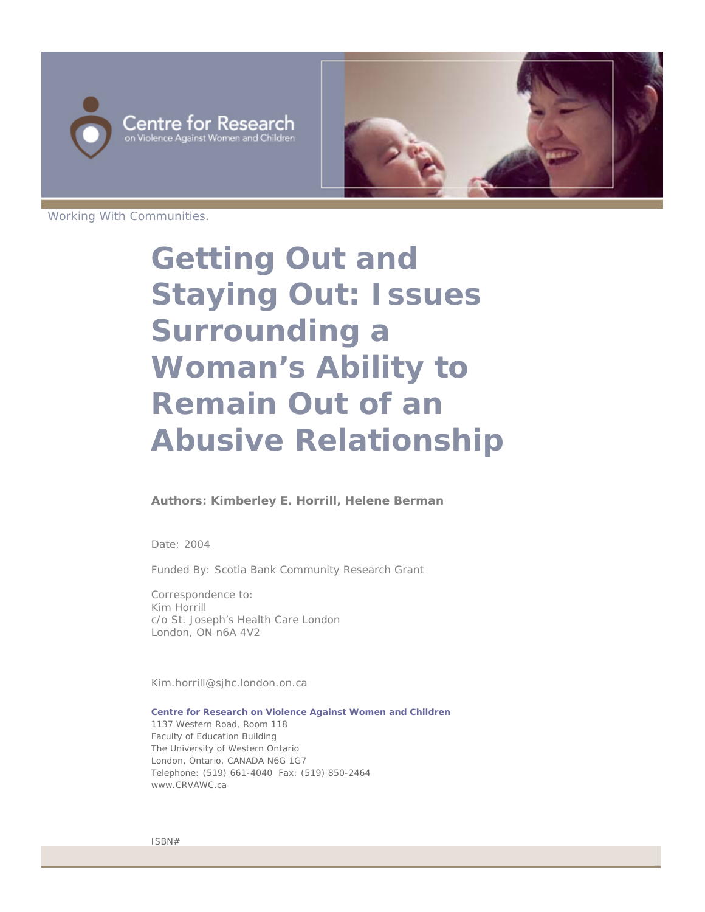



Working With Communities.

# **Getting Out and Staying Out: Issues Surrounding a Woman's Ability to Remain Out of an Abusive Relationship**

#### **Authors: Kimberley E. Horrill, Helene Berman**

Date: 2004

Funded By: Scotia Bank Community Research Grant

Correspondence to: Kim Horrill c/o St. Joseph's Health Care London London, ON n6A 4V2

Kim.horrill@sjhc.london.on.ca

**Centre for Research on Violence Against Women and Children** 1137 Western Road, Room 118 Faculty of Education Building The University of Western Ontario London, Ontario, CANADA N6G 1G7 Telephone: (519) 661-4040 Fax: (519) 850-2464 www.CRVAWC.ca

ISBN#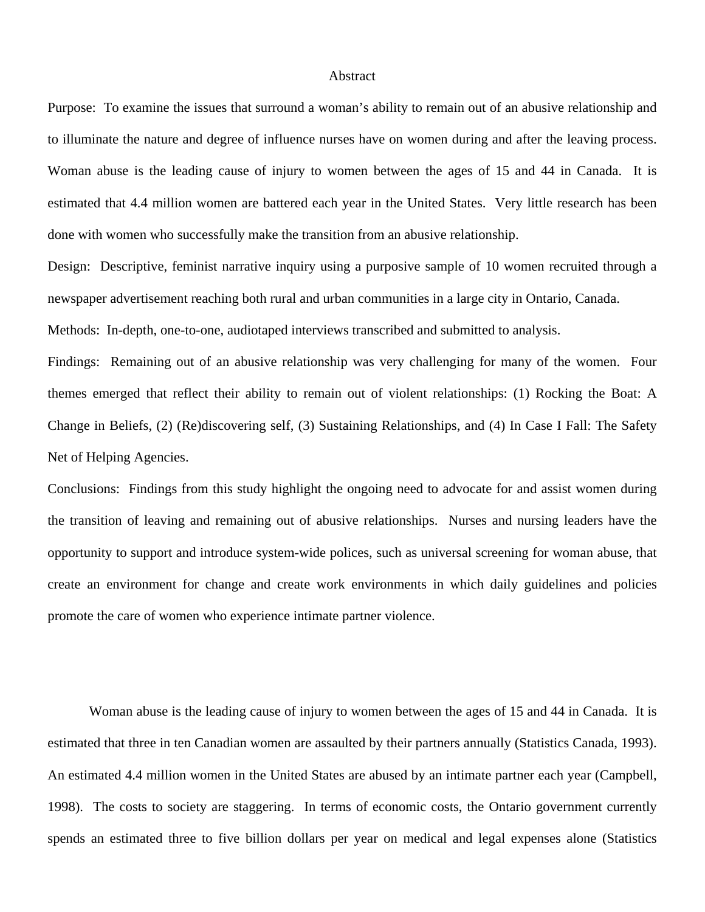### Abstract

Purpose: To examine the issues that surround a woman's ability to remain out of an abusive relationship and to illuminate the nature and degree of influence nurses have on women during and after the leaving process. Woman abuse is the leading cause of injury to women between the ages of 15 and 44 in Canada. It is estimated that 4.4 million women are battered each year in the United States. Very little research has been done with women who successfully make the transition from an abusive relationship.

Design: Descriptive, feminist narrative inquiry using a purposive sample of 10 women recruited through a newspaper advertisement reaching both rural and urban communities in a large city in Ontario, Canada.

Methods: In-depth, one-to-one, audiotaped interviews transcribed and submitted to analysis.

Findings: Remaining out of an abusive relationship was very challenging for many of the women. Four themes emerged that reflect their ability to remain out of violent relationships: (1) Rocking the Boat: A Change in Beliefs, (2) (Re)discovering self, (3) Sustaining Relationships, and (4) In Case I Fall: The Safety Net of Helping Agencies.

Conclusions: Findings from this study highlight the ongoing need to advocate for and assist women during the transition of leaving and remaining out of abusive relationships. Nurses and nursing leaders have the opportunity to support and introduce system-wide polices, such as universal screening for woman abuse, that create an environment for change and create work environments in which daily guidelines and policies promote the care of women who experience intimate partner violence.

Woman abuse is the leading cause of injury to women between the ages of 15 and 44 in Canada. It is estimated that three in ten Canadian women are assaulted by their partners annually (Statistics Canada, 1993). An estimated 4.4 million women in the United States are abused by an intimate partner each year (Campbell, 1998). The costs to society are staggering. In terms of economic costs, the Ontario government currently spends an estimated three to five billion dollars per year on medical and legal expenses alone (Statistics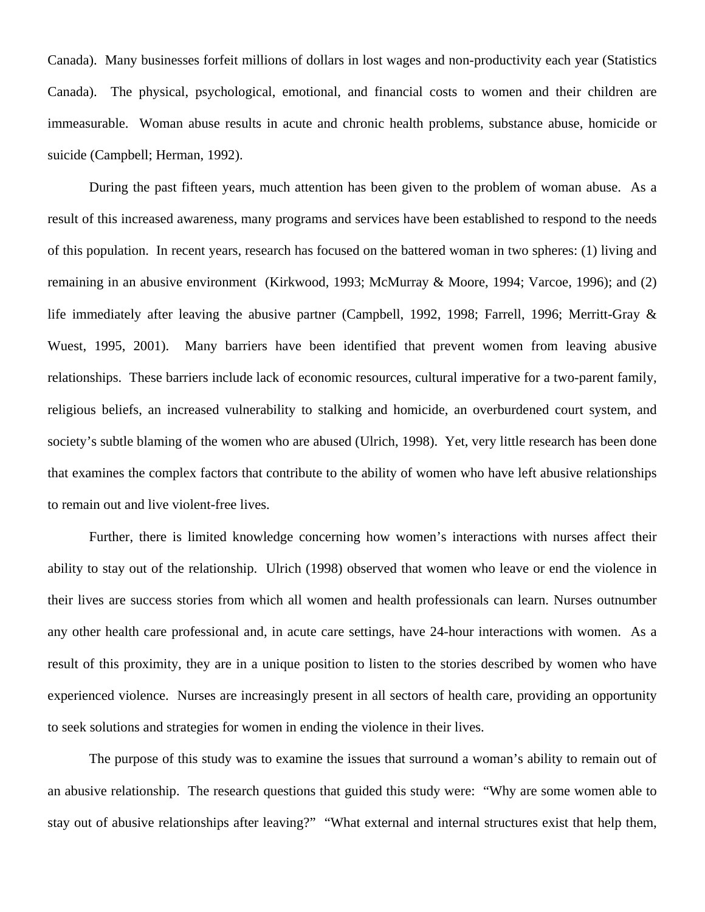Canada). Many businesses forfeit millions of dollars in lost wages and non-productivity each year (Statistics Canada). The physical, psychological, emotional, and financial costs to women and their children are immeasurable. Woman abuse results in acute and chronic health problems, substance abuse, homicide or suicide (Campbell; Herman, 1992).

During the past fifteen years, much attention has been given to the problem of woman abuse. As a result of this increased awareness, many programs and services have been established to respond to the needs of this population. In recent years, research has focused on the battered woman in two spheres: (1) living and remaining in an abusive environment (Kirkwood, 1993; McMurray & Moore, 1994; Varcoe, 1996); and (2) life immediately after leaving the abusive partner (Campbell, 1992, 1998; Farrell, 1996; Merritt-Gray & Wuest, 1995, 2001). Many barriers have been identified that prevent women from leaving abusive relationships. These barriers include lack of economic resources, cultural imperative for a two-parent family, religious beliefs, an increased vulnerability to stalking and homicide, an overburdened court system, and society's subtle blaming of the women who are abused (Ulrich, 1998). Yet, very little research has been done that examines the complex factors that contribute to the ability of women who have left abusive relationships to remain out and live violent-free lives.

Further, there is limited knowledge concerning how women's interactions with nurses affect their ability to stay out of the relationship. Ulrich (1998) observed that women who leave or end the violence in their lives are success stories from which all women and health professionals can learn. Nurses outnumber any other health care professional and, in acute care settings, have 24-hour interactions with women. As a result of this proximity, they are in a unique position to listen to the stories described by women who have experienced violence. Nurses are increasingly present in all sectors of health care, providing an opportunity to seek solutions and strategies for women in ending the violence in their lives.

The purpose of this study was to examine the issues that surround a woman's ability to remain out of an abusive relationship. The research questions that guided this study were: "Why are some women able to stay out of abusive relationships after leaving?" "What external and internal structures exist that help them,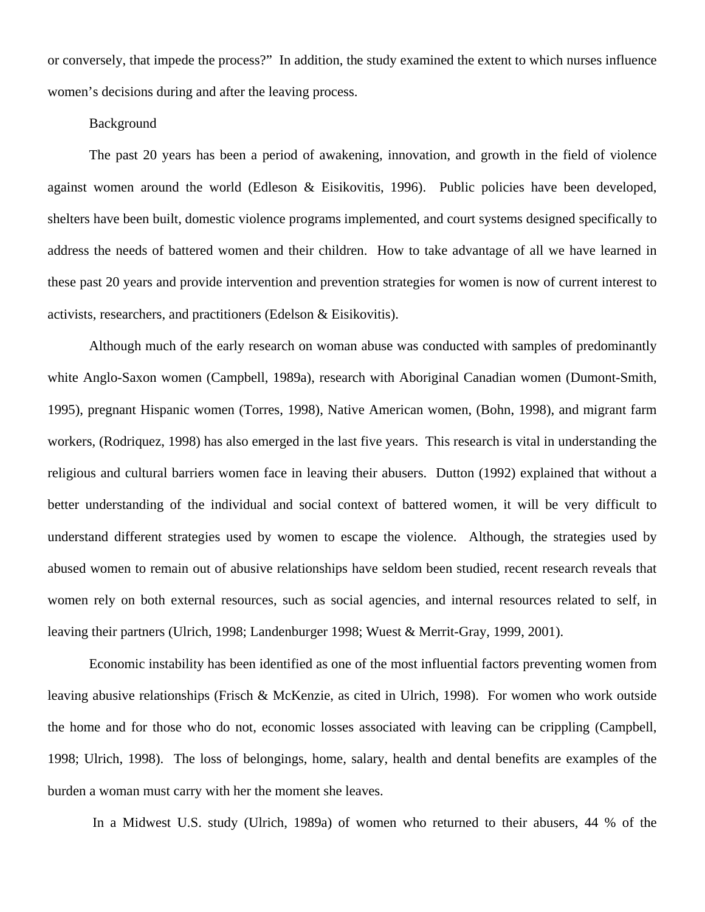or conversely, that impede the process?" In addition, the study examined the extent to which nurses influence women's decisions during and after the leaving process.

# Background

The past 20 years has been a period of awakening, innovation, and growth in the field of violence against women around the world (Edleson & Eisikovitis, 1996). Public policies have been developed, shelters have been built, domestic violence programs implemented, and court systems designed specifically to address the needs of battered women and their children. How to take advantage of all we have learned in these past 20 years and provide intervention and prevention strategies for women is now of current interest to activists, researchers, and practitioners (Edelson & Eisikovitis).

Although much of the early research on woman abuse was conducted with samples of predominantly white Anglo-Saxon women (Campbell, 1989a), research with Aboriginal Canadian women (Dumont-Smith, 1995), pregnant Hispanic women (Torres, 1998), Native American women, (Bohn, 1998), and migrant farm workers, (Rodriquez, 1998) has also emerged in the last five years. This research is vital in understanding the religious and cultural barriers women face in leaving their abusers. Dutton (1992) explained that without a better understanding of the individual and social context of battered women, it will be very difficult to understand different strategies used by women to escape the violence. Although, the strategies used by abused women to remain out of abusive relationships have seldom been studied, recent research reveals that women rely on both external resources, such as social agencies, and internal resources related to self, in leaving their partners (Ulrich, 1998; Landenburger 1998; Wuest & Merrit-Gray, 1999, 2001).

Economic instability has been identified as one of the most influential factors preventing women from leaving abusive relationships (Frisch & McKenzie, as cited in Ulrich, 1998). For women who work outside the home and for those who do not, economic losses associated with leaving can be crippling (Campbell, 1998; Ulrich, 1998). The loss of belongings, home, salary, health and dental benefits are examples of the burden a woman must carry with her the moment she leaves.

In a Midwest U.S. study (Ulrich, 1989a) of women who returned to their abusers, 44 % of the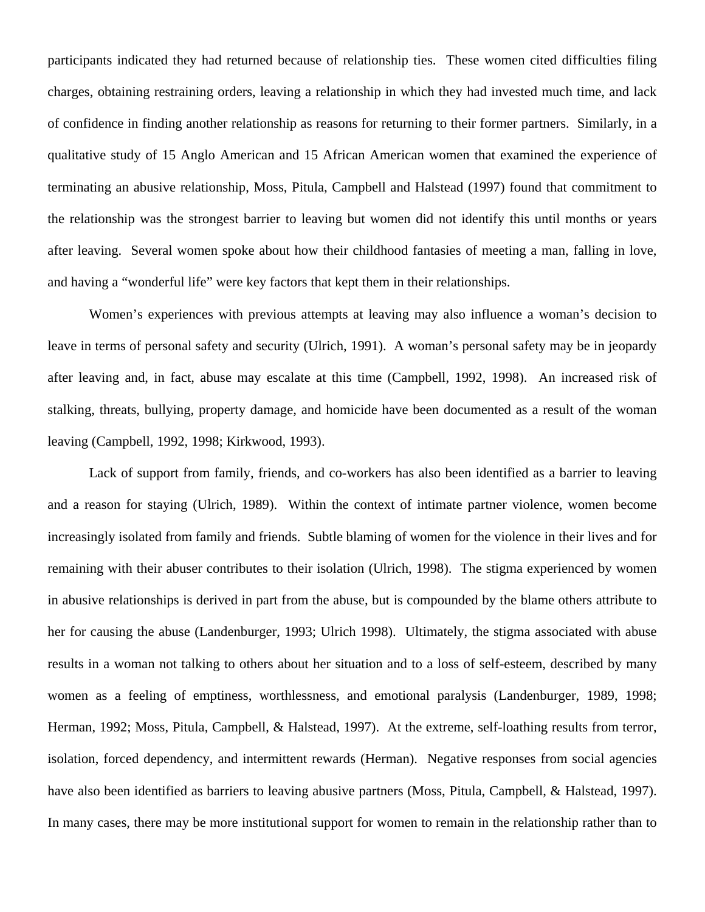participants indicated they had returned because of relationship ties. These women cited difficulties filing charges, obtaining restraining orders, leaving a relationship in which they had invested much time, and lack of confidence in finding another relationship as reasons for returning to their former partners. Similarly, in a qualitative study of 15 Anglo American and 15 African American women that examined the experience of terminating an abusive relationship, Moss, Pitula, Campbell and Halstead (1997) found that commitment to the relationship was the strongest barrier to leaving but women did not identify this until months or years after leaving. Several women spoke about how their childhood fantasies of meeting a man, falling in love, and having a "wonderful life" were key factors that kept them in their relationships.

Women's experiences with previous attempts at leaving may also influence a woman's decision to leave in terms of personal safety and security (Ulrich, 1991). A woman's personal safety may be in jeopardy after leaving and, in fact, abuse may escalate at this time (Campbell, 1992, 1998). An increased risk of stalking, threats, bullying, property damage, and homicide have been documented as a result of the woman leaving (Campbell, 1992, 1998; Kirkwood, 1993).

Lack of support from family, friends, and co-workers has also been identified as a barrier to leaving and a reason for staying (Ulrich, 1989). Within the context of intimate partner violence, women become increasingly isolated from family and friends. Subtle blaming of women for the violence in their lives and for remaining with their abuser contributes to their isolation (Ulrich, 1998). The stigma experienced by women in abusive relationships is derived in part from the abuse, but is compounded by the blame others attribute to her for causing the abuse (Landenburger, 1993; Ulrich 1998). Ultimately, the stigma associated with abuse results in a woman not talking to others about her situation and to a loss of self-esteem, described by many women as a feeling of emptiness, worthlessness, and emotional paralysis (Landenburger, 1989, 1998; Herman, 1992; Moss, Pitula, Campbell, & Halstead, 1997). At the extreme, self-loathing results from terror, isolation, forced dependency, and intermittent rewards (Herman). Negative responses from social agencies have also been identified as barriers to leaving abusive partners (Moss, Pitula, Campbell, & Halstead, 1997). In many cases, there may be more institutional support for women to remain in the relationship rather than to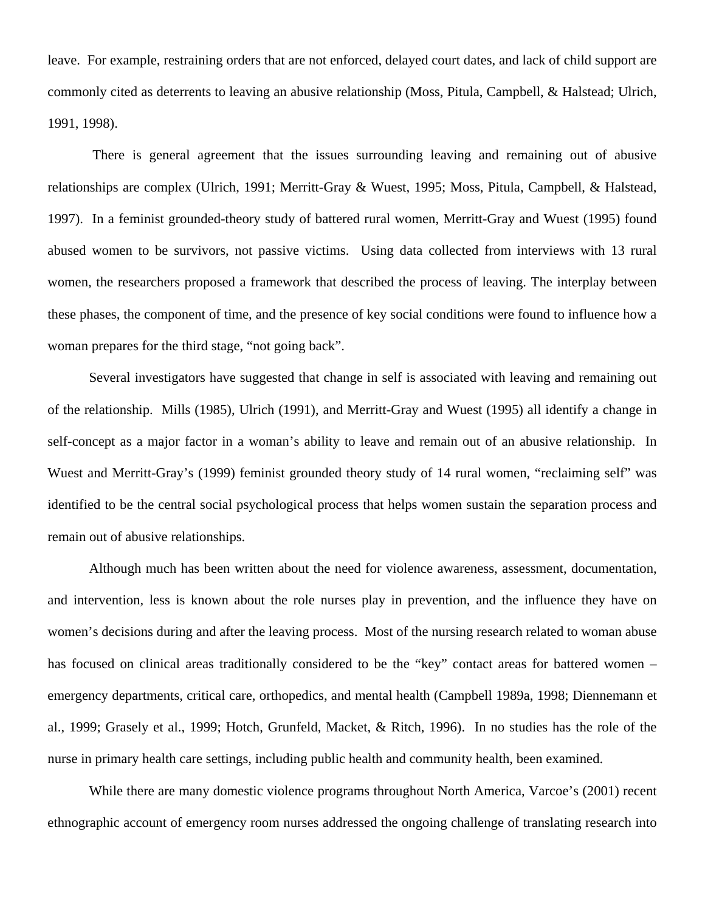leave. For example, restraining orders that are not enforced, delayed court dates, and lack of child support are commonly cited as deterrents to leaving an abusive relationship (Moss, Pitula, Campbell, & Halstead; Ulrich, 1991, 1998).

 There is general agreement that the issues surrounding leaving and remaining out of abusive relationships are complex (Ulrich, 1991; Merritt-Gray & Wuest, 1995; Moss, Pitula, Campbell, & Halstead, 1997). In a feminist grounded-theory study of battered rural women, Merritt-Gray and Wuest (1995) found abused women to be survivors, not passive victims. Using data collected from interviews with 13 rural women, the researchers proposed a framework that described the process of leaving. The interplay between these phases, the component of time, and the presence of key social conditions were found to influence how a woman prepares for the third stage, "not going back".

Several investigators have suggested that change in self is associated with leaving and remaining out of the relationship. Mills (1985), Ulrich (1991), and Merritt-Gray and Wuest (1995) all identify a change in self-concept as a major factor in a woman's ability to leave and remain out of an abusive relationship. In Wuest and Merritt-Gray's (1999) feminist grounded theory study of 14 rural women, "reclaiming self" was identified to be the central social psychological process that helps women sustain the separation process and remain out of abusive relationships.

Although much has been written about the need for violence awareness, assessment, documentation, and intervention, less is known about the role nurses play in prevention, and the influence they have on women's decisions during and after the leaving process. Most of the nursing research related to woman abuse has focused on clinical areas traditionally considered to be the "key" contact areas for battered women – emergency departments, critical care, orthopedics, and mental health (Campbell 1989a, 1998; Diennemann et al., 1999; Grasely et al., 1999; Hotch, Grunfeld, Macket, & Ritch, 1996). In no studies has the role of the nurse in primary health care settings, including public health and community health, been examined.

While there are many domestic violence programs throughout North America, Varcoe's (2001) recent ethnographic account of emergency room nurses addressed the ongoing challenge of translating research into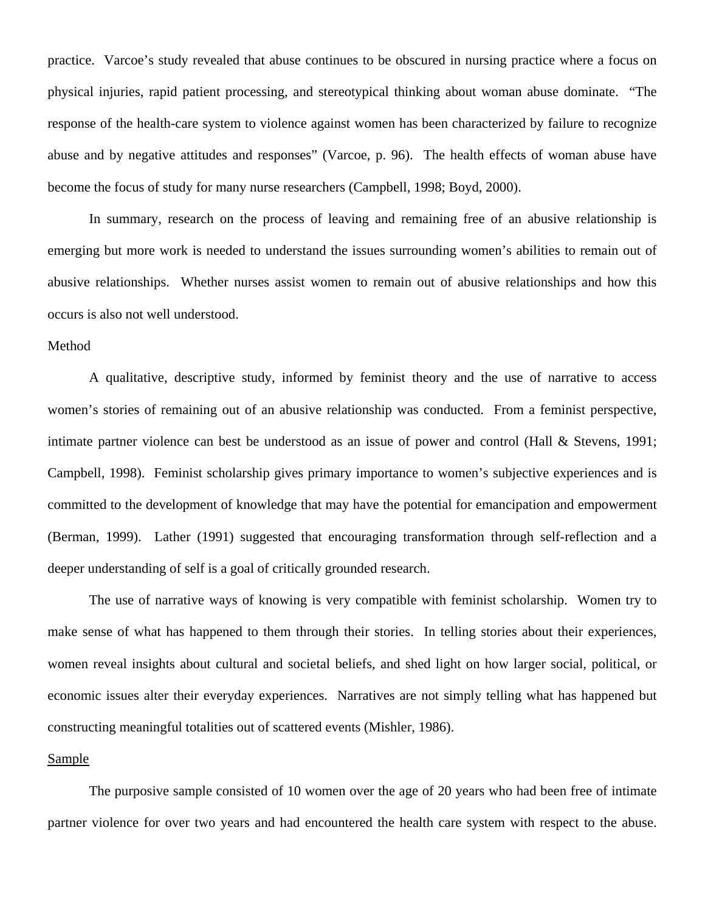practice. Varcoe's study revealed that abuse continues to be obscured in nursing practice where a focus on physical injuries, rapid patient processing, and stereotypical thinking about woman abuse dominate. "The response of the health-care system to violence against women has been characterized by failure to recognize abuse and by negative attitudes and responses" (Varcoe, p. 96). The health effects of woman abuse have become the focus of study for many nurse researchers (Campbell, 1998; Boyd, 2000).

In summary, research on the process of leaving and remaining free of an abusive relationship is emerging but more work is needed to understand the issues surrounding women's abilities to remain out of abusive relationships. Whether nurses assist women to remain out of abusive relationships and how this occurs is also not well understood.

## Method

A qualitative, descriptive study, informed by feminist theory and the use of narrative to access women's stories of remaining out of an abusive relationship was conducted. From a feminist perspective, intimate partner violence can best be understood as an issue of power and control (Hall & Stevens, 1991; Campbell, 1998). Feminist scholarship gives primary importance to women's subjective experiences and is committed to the development of knowledge that may have the potential for emancipation and empowerment (Berman, 1999). Lather (1991) suggested that encouraging transformation through self-reflection and a deeper understanding of self is a goal of critically grounded research.

The use of narrative ways of knowing is very compatible with feminist scholarship. Women try to make sense of what has happened to them through their stories. In telling stories about their experiences, women reveal insights about cultural and societal beliefs, and shed light on how larger social, political, or economic issues alter their everyday experiences. Narratives are not simply telling what has happened but constructing meaningful totalities out of scattered events (Mishler, 1986).

## Sample

The purposive sample consisted of 10 women over the age of 20 years who had been free of intimate partner violence for over two years and had encountered the health care system with respect to the abuse.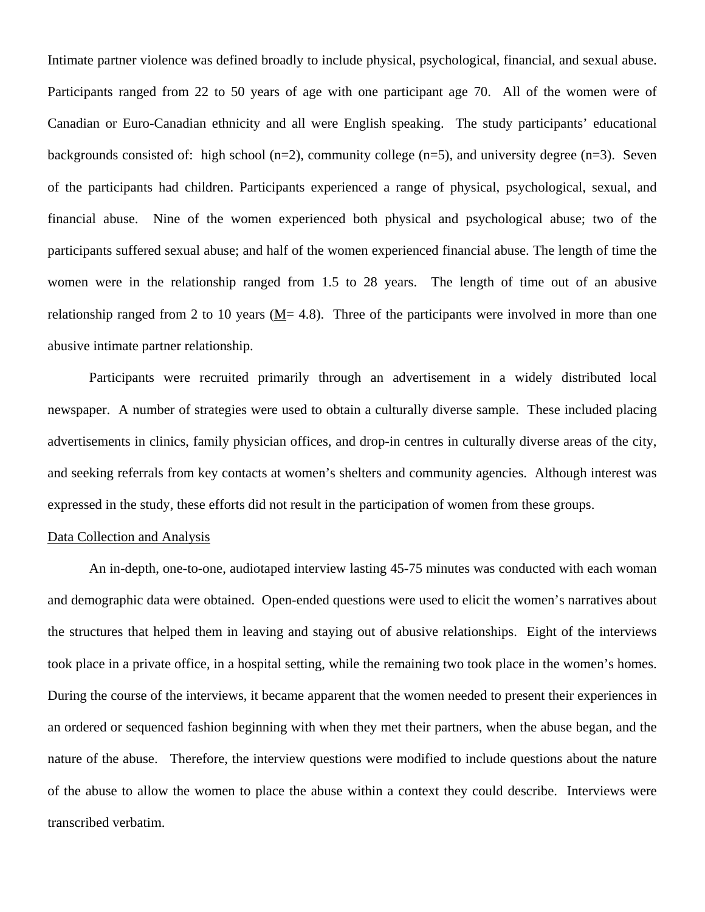Intimate partner violence was defined broadly to include physical, psychological, financial, and sexual abuse. Participants ranged from 22 to 50 years of age with one participant age 70. All of the women were of Canadian or Euro-Canadian ethnicity and all were English speaking. The study participants' educational backgrounds consisted of: high school  $(n=2)$ , community college  $(n=5)$ , and university degree  $(n=3)$ . Seven of the participants had children. Participants experienced a range of physical, psychological, sexual, and financial abuse. Nine of the women experienced both physical and psychological abuse; two of the participants suffered sexual abuse; and half of the women experienced financial abuse. The length of time the women were in the relationship ranged from 1.5 to 28 years. The length of time out of an abusive relationship ranged from 2 to 10 years ( $M$  = 4.8). Three of the participants were involved in more than one abusive intimate partner relationship.

Participants were recruited primarily through an advertisement in a widely distributed local newspaper. A number of strategies were used to obtain a culturally diverse sample. These included placing advertisements in clinics, family physician offices, and drop-in centres in culturally diverse areas of the city, and seeking referrals from key contacts at women's shelters and community agencies. Although interest was expressed in the study, these efforts did not result in the participation of women from these groups.

## Data Collection and Analysis

An in-depth, one-to-one, audiotaped interview lasting 45-75 minutes was conducted with each woman and demographic data were obtained. Open-ended questions were used to elicit the women's narratives about the structures that helped them in leaving and staying out of abusive relationships. Eight of the interviews took place in a private office, in a hospital setting, while the remaining two took place in the women's homes. During the course of the interviews, it became apparent that the women needed to present their experiences in an ordered or sequenced fashion beginning with when they met their partners, when the abuse began, and the nature of the abuse. Therefore, the interview questions were modified to include questions about the nature of the abuse to allow the women to place the abuse within a context they could describe. Interviews were transcribed verbatim.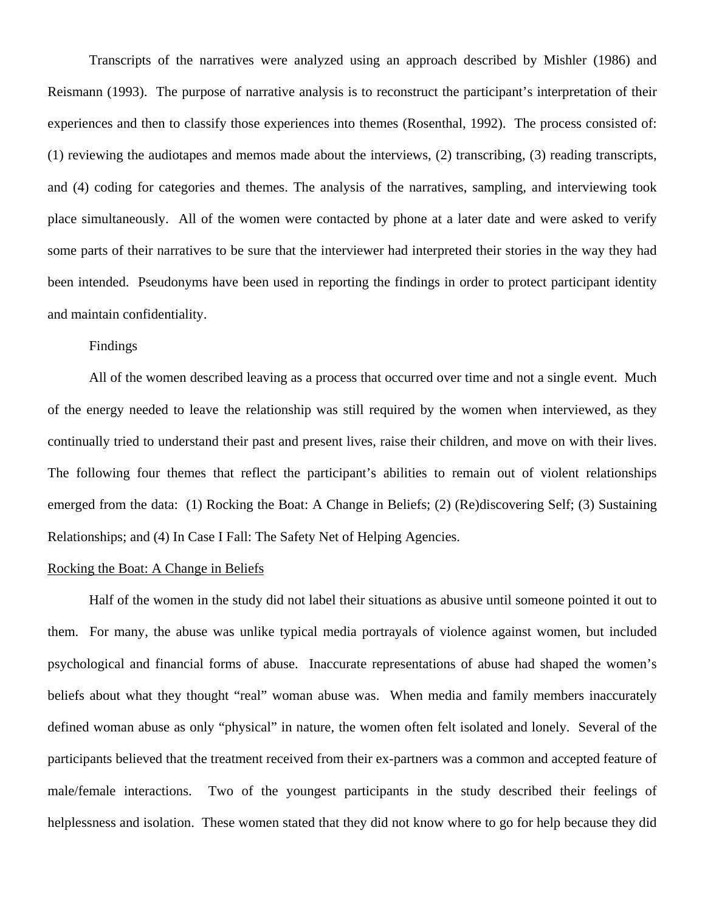Transcripts of the narratives were analyzed using an approach described by Mishler (1986) and Reismann (1993). The purpose of narrative analysis is to reconstruct the participant's interpretation of their experiences and then to classify those experiences into themes (Rosenthal, 1992). The process consisted of: (1) reviewing the audiotapes and memos made about the interviews, (2) transcribing, (3) reading transcripts, and (4) coding for categories and themes. The analysis of the narratives, sampling, and interviewing took place simultaneously. All of the women were contacted by phone at a later date and were asked to verify some parts of their narratives to be sure that the interviewer had interpreted their stories in the way they had been intended. Pseudonyms have been used in reporting the findings in order to protect participant identity and maintain confidentiality.

## Findings

All of the women described leaving as a process that occurred over time and not a single event. Much of the energy needed to leave the relationship was still required by the women when interviewed, as they continually tried to understand their past and present lives, raise their children, and move on with their lives. The following four themes that reflect the participant's abilities to remain out of violent relationships emerged from the data: (1) Rocking the Boat: A Change in Beliefs; (2) (Re)discovering Self; (3) Sustaining Relationships; and (4) In Case I Fall: The Safety Net of Helping Agencies.

#### Rocking the Boat: A Change in Beliefs

Half of the women in the study did not label their situations as abusive until someone pointed it out to them. For many, the abuse was unlike typical media portrayals of violence against women, but included psychological and financial forms of abuse. Inaccurate representations of abuse had shaped the women's beliefs about what they thought "real" woman abuse was. When media and family members inaccurately defined woman abuse as only "physical" in nature, the women often felt isolated and lonely. Several of the participants believed that the treatment received from their ex-partners was a common and accepted feature of male/female interactions. Two of the youngest participants in the study described their feelings of helplessness and isolation. These women stated that they did not know where to go for help because they did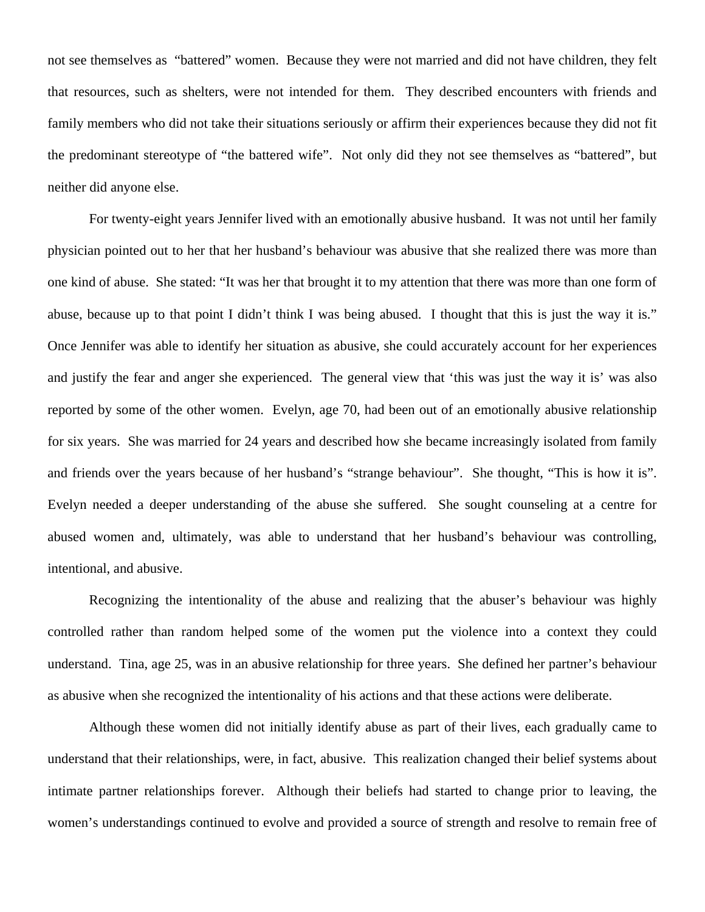not see themselves as "battered" women. Because they were not married and did not have children, they felt that resources, such as shelters, were not intended for them. They described encounters with friends and family members who did not take their situations seriously or affirm their experiences because they did not fit the predominant stereotype of "the battered wife". Not only did they not see themselves as "battered", but neither did anyone else.

For twenty-eight years Jennifer lived with an emotionally abusive husband. It was not until her family physician pointed out to her that her husband's behaviour was abusive that she realized there was more than one kind of abuse. She stated: "It was her that brought it to my attention that there was more than one form of abuse, because up to that point I didn't think I was being abused. I thought that this is just the way it is." Once Jennifer was able to identify her situation as abusive, she could accurately account for her experiences and justify the fear and anger she experienced. The general view that 'this was just the way it is' was also reported by some of the other women. Evelyn, age 70, had been out of an emotionally abusive relationship for six years. She was married for 24 years and described how she became increasingly isolated from family and friends over the years because of her husband's "strange behaviour". She thought, "This is how it is". Evelyn needed a deeper understanding of the abuse she suffered. She sought counseling at a centre for abused women and, ultimately, was able to understand that her husband's behaviour was controlling, intentional, and abusive.

Recognizing the intentionality of the abuse and realizing that the abuser's behaviour was highly controlled rather than random helped some of the women put the violence into a context they could understand. Tina, age 25, was in an abusive relationship for three years. She defined her partner's behaviour as abusive when she recognized the intentionality of his actions and that these actions were deliberate.

Although these women did not initially identify abuse as part of their lives, each gradually came to understand that their relationships, were, in fact, abusive. This realization changed their belief systems about intimate partner relationships forever. Although their beliefs had started to change prior to leaving, the women's understandings continued to evolve and provided a source of strength and resolve to remain free of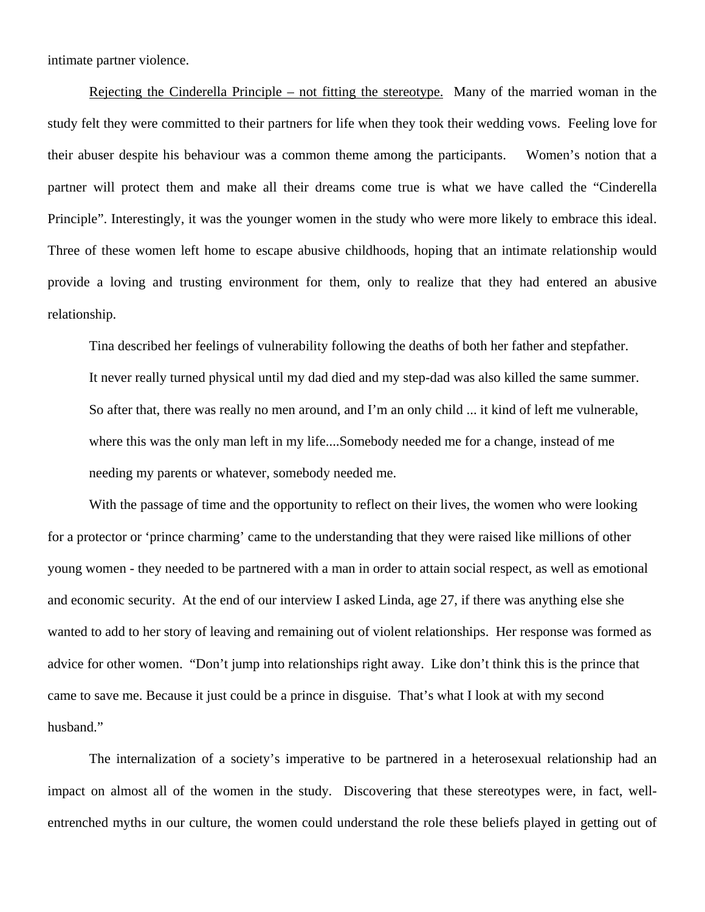intimate partner violence.

 Rejecting the Cinderella Principle – not fitting the stereotype. Many of the married woman in the study felt they were committed to their partners for life when they took their wedding vows. Feeling love for their abuser despite his behaviour was a common theme among the participants. Women's notion that a partner will protect them and make all their dreams come true is what we have called the "Cinderella Principle". Interestingly, it was the younger women in the study who were more likely to embrace this ideal. Three of these women left home to escape abusive childhoods, hoping that an intimate relationship would provide a loving and trusting environment for them, only to realize that they had entered an abusive relationship.

Tina described her feelings of vulnerability following the deaths of both her father and stepfather.

It never really turned physical until my dad died and my step-dad was also killed the same summer. So after that, there was really no men around, and I'm an only child ... it kind of left me vulnerable, where this was the only man left in my life....Somebody needed me for a change, instead of me needing my parents or whatever, somebody needed me.

With the passage of time and the opportunity to reflect on their lives, the women who were looking for a protector or 'prince charming' came to the understanding that they were raised like millions of other young women - they needed to be partnered with a man in order to attain social respect, as well as emotional and economic security. At the end of our interview I asked Linda, age 27, if there was anything else she wanted to add to her story of leaving and remaining out of violent relationships. Her response was formed as advice for other women. "Don't jump into relationships right away. Like don't think this is the prince that came to save me. Because it just could be a prince in disguise. That's what I look at with my second husband."

The internalization of a society's imperative to be partnered in a heterosexual relationship had an impact on almost all of the women in the study. Discovering that these stereotypes were, in fact, wellentrenched myths in our culture, the women could understand the role these beliefs played in getting out of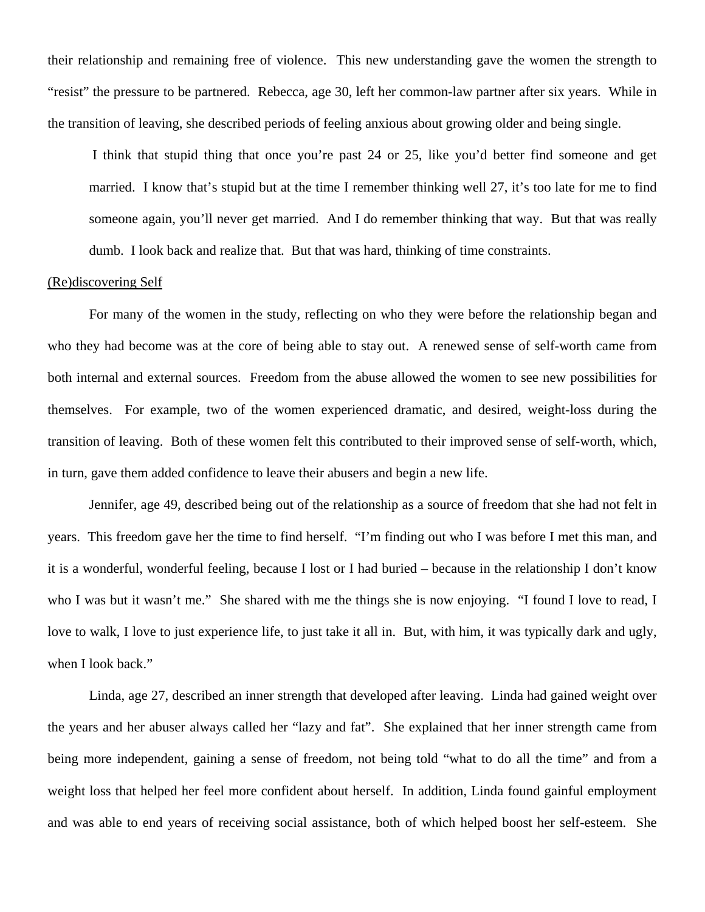their relationship and remaining free of violence. This new understanding gave the women the strength to "resist" the pressure to be partnered. Rebecca, age 30, left her common-law partner after six years. While in the transition of leaving, she described periods of feeling anxious about growing older and being single.

I think that stupid thing that once you're past 24 or 25, like you'd better find someone and get married. I know that's stupid but at the time I remember thinking well 27, it's too late for me to find someone again, you'll never get married. And I do remember thinking that way. But that was really dumb. I look back and realize that. But that was hard, thinking of time constraints.

### (Re)discovering Self

For many of the women in the study, reflecting on who they were before the relationship began and who they had become was at the core of being able to stay out. A renewed sense of self-worth came from both internal and external sources. Freedom from the abuse allowed the women to see new possibilities for themselves. For example, two of the women experienced dramatic, and desired, weight-loss during the transition of leaving. Both of these women felt this contributed to their improved sense of self-worth, which, in turn, gave them added confidence to leave their abusers and begin a new life.

Jennifer, age 49, described being out of the relationship as a source of freedom that she had not felt in years. This freedom gave her the time to find herself. "I'm finding out who I was before I met this man, and it is a wonderful, wonderful feeling, because I lost or I had buried – because in the relationship I don't know who I was but it wasn't me." She shared with me the things she is now enjoying. "I found I love to read, I love to walk, I love to just experience life, to just take it all in. But, with him, it was typically dark and ugly, when I look back."

Linda, age 27, described an inner strength that developed after leaving. Linda had gained weight over the years and her abuser always called her "lazy and fat". She explained that her inner strength came from being more independent, gaining a sense of freedom, not being told "what to do all the time" and from a weight loss that helped her feel more confident about herself. In addition, Linda found gainful employment and was able to end years of receiving social assistance, both of which helped boost her self-esteem. She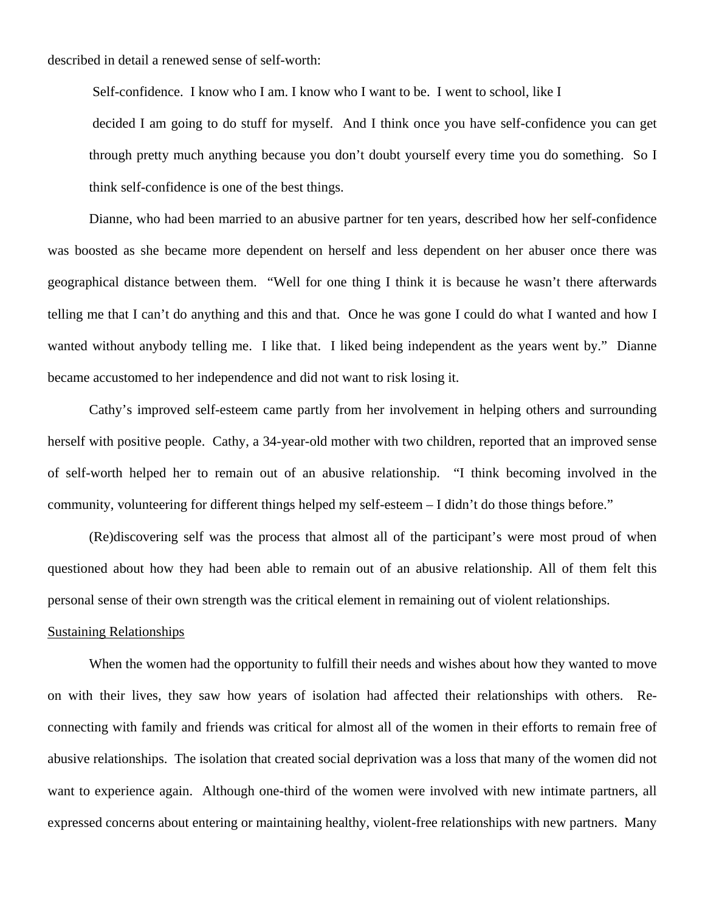described in detail a renewed sense of self-worth:

 Self-confidence. I know who I am. I know who I want to be. I went to school, like I decided I am going to do stuff for myself. And I think once you have self-confidence you can get through pretty much anything because you don't doubt yourself every time you do something. So I think self-confidence is one of the best things.

Dianne, who had been married to an abusive partner for ten years, described how her self-confidence was boosted as she became more dependent on herself and less dependent on her abuser once there was geographical distance between them. "Well for one thing I think it is because he wasn't there afterwards telling me that I can't do anything and this and that. Once he was gone I could do what I wanted and how I wanted without anybody telling me. I like that. I liked being independent as the years went by." Dianne became accustomed to her independence and did not want to risk losing it.

Cathy's improved self-esteem came partly from her involvement in helping others and surrounding herself with positive people. Cathy, a 34-year-old mother with two children, reported that an improved sense of self-worth helped her to remain out of an abusive relationship. "I think becoming involved in the community, volunteering for different things helped my self-esteem – I didn't do those things before."

(Re)discovering self was the process that almost all of the participant's were most proud of when questioned about how they had been able to remain out of an abusive relationship. All of them felt this personal sense of their own strength was the critical element in remaining out of violent relationships.

#### Sustaining Relationships

When the women had the opportunity to fulfill their needs and wishes about how they wanted to move on with their lives, they saw how years of isolation had affected their relationships with others. Reconnecting with family and friends was critical for almost all of the women in their efforts to remain free of abusive relationships. The isolation that created social deprivation was a loss that many of the women did not want to experience again. Although one-third of the women were involved with new intimate partners, all expressed concerns about entering or maintaining healthy, violent-free relationships with new partners. Many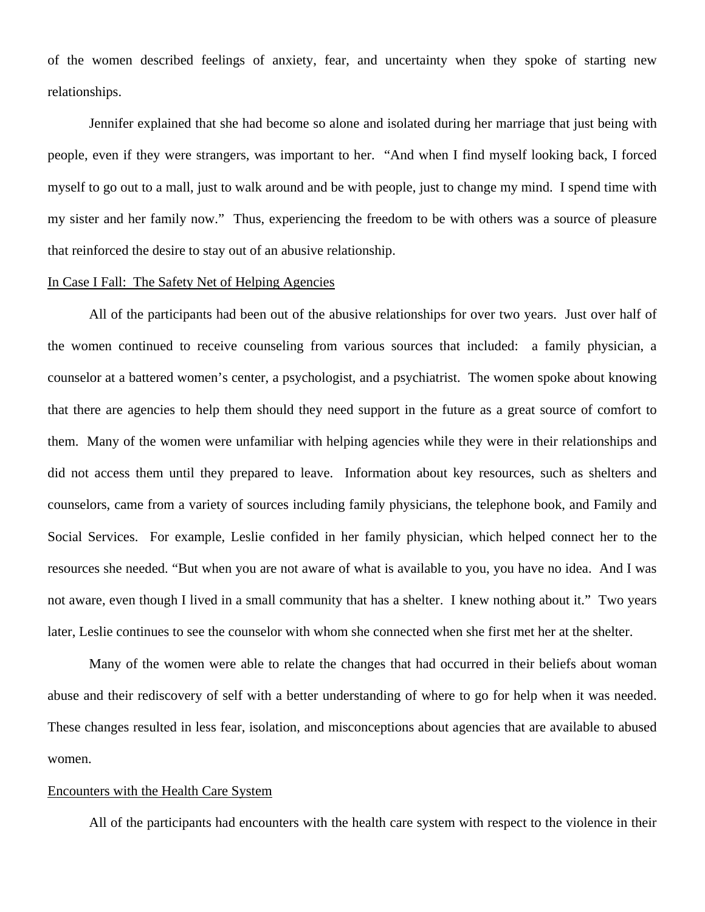of the women described feelings of anxiety, fear, and uncertainty when they spoke of starting new relationships.

Jennifer explained that she had become so alone and isolated during her marriage that just being with people, even if they were strangers, was important to her. "And when I find myself looking back, I forced myself to go out to a mall, just to walk around and be with people, just to change my mind. I spend time with my sister and her family now." Thus, experiencing the freedom to be with others was a source of pleasure that reinforced the desire to stay out of an abusive relationship.

#### In Case I Fall: The Safety Net of Helping Agencies

All of the participants had been out of the abusive relationships for over two years. Just over half of the women continued to receive counseling from various sources that included: a family physician, a counselor at a battered women's center, a psychologist, and a psychiatrist. The women spoke about knowing that there are agencies to help them should they need support in the future as a great source of comfort to them. Many of the women were unfamiliar with helping agencies while they were in their relationships and did not access them until they prepared to leave. Information about key resources, such as shelters and counselors, came from a variety of sources including family physicians, the telephone book, and Family and Social Services. For example, Leslie confided in her family physician, which helped connect her to the resources she needed. "But when you are not aware of what is available to you, you have no idea. And I was not aware, even though I lived in a small community that has a shelter. I knew nothing about it." Two years later, Leslie continues to see the counselor with whom she connected when she first met her at the shelter.

Many of the women were able to relate the changes that had occurred in their beliefs about woman abuse and their rediscovery of self with a better understanding of where to go for help when it was needed. These changes resulted in less fear, isolation, and misconceptions about agencies that are available to abused women.

#### Encounters with the Health Care System

All of the participants had encounters with the health care system with respect to the violence in their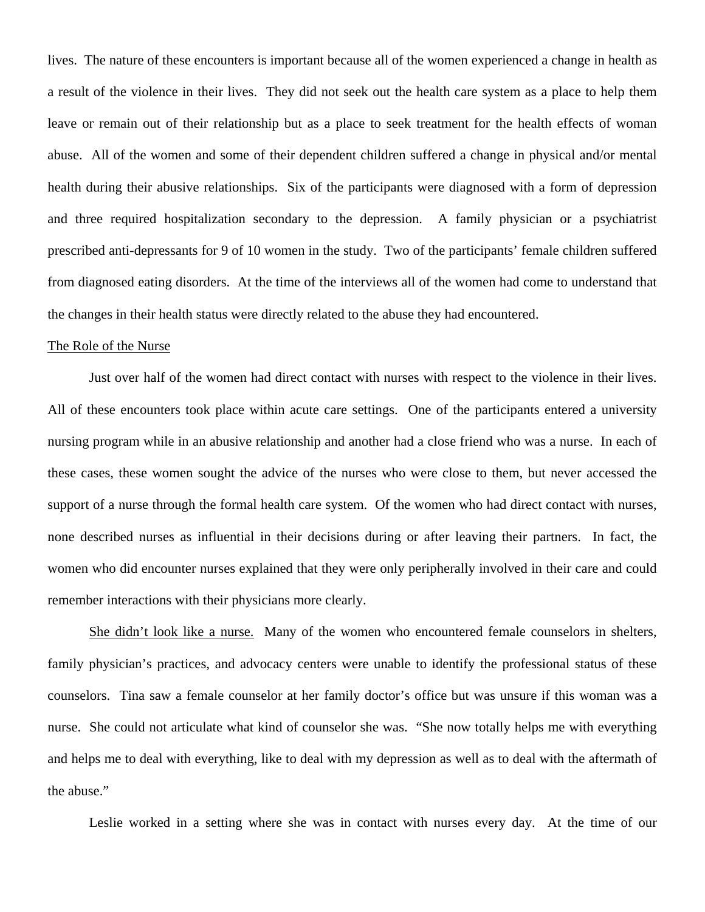lives. The nature of these encounters is important because all of the women experienced a change in health as a result of the violence in their lives. They did not seek out the health care system as a place to help them leave or remain out of their relationship but as a place to seek treatment for the health effects of woman abuse. All of the women and some of their dependent children suffered a change in physical and/or mental health during their abusive relationships. Six of the participants were diagnosed with a form of depression and three required hospitalization secondary to the depression. A family physician or a psychiatrist prescribed anti-depressants for 9 of 10 women in the study. Two of the participants' female children suffered from diagnosed eating disorders. At the time of the interviews all of the women had come to understand that the changes in their health status were directly related to the abuse they had encountered.

#### The Role of the Nurse

Just over half of the women had direct contact with nurses with respect to the violence in their lives. All of these encounters took place within acute care settings. One of the participants entered a university nursing program while in an abusive relationship and another had a close friend who was a nurse. In each of these cases, these women sought the advice of the nurses who were close to them, but never accessed the support of a nurse through the formal health care system. Of the women who had direct contact with nurses, none described nurses as influential in their decisions during or after leaving their partners. In fact, the women who did encounter nurses explained that they were only peripherally involved in their care and could remember interactions with their physicians more clearly.

She didn't look like a nurse. Many of the women who encountered female counselors in shelters, family physician's practices, and advocacy centers were unable to identify the professional status of these counselors. Tina saw a female counselor at her family doctor's office but was unsure if this woman was a nurse. She could not articulate what kind of counselor she was. "She now totally helps me with everything and helps me to deal with everything, like to deal with my depression as well as to deal with the aftermath of the abuse."

Leslie worked in a setting where she was in contact with nurses every day. At the time of our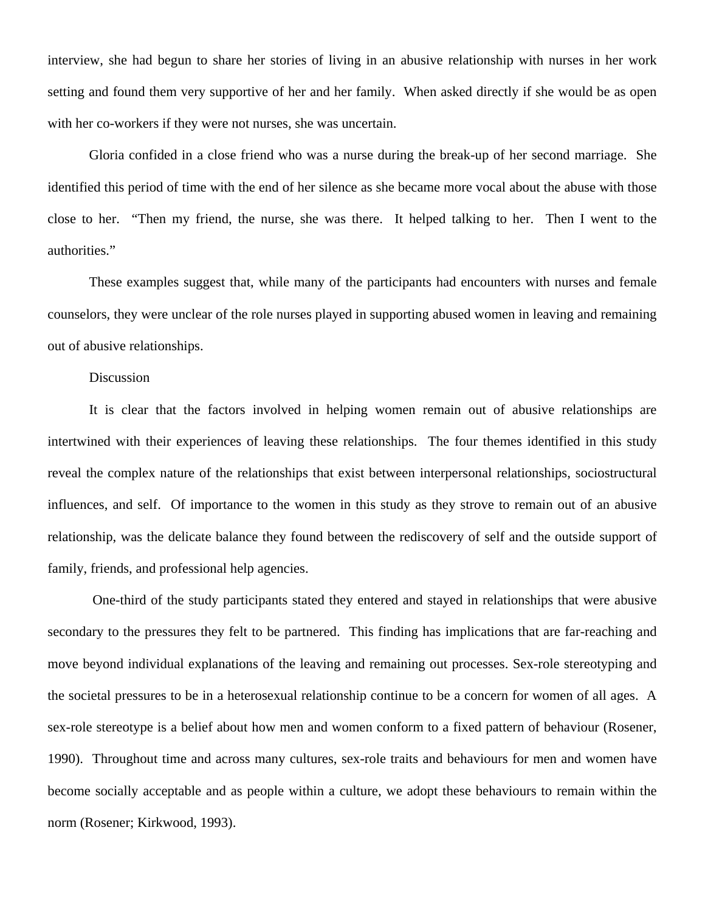interview, she had begun to share her stories of living in an abusive relationship with nurses in her work setting and found them very supportive of her and her family. When asked directly if she would be as open with her co-workers if they were not nurses, she was uncertain.

Gloria confided in a close friend who was a nurse during the break-up of her second marriage. She identified this period of time with the end of her silence as she became more vocal about the abuse with those close to her. "Then my friend, the nurse, she was there. It helped talking to her. Then I went to the authorities."

These examples suggest that, while many of the participants had encounters with nurses and female counselors, they were unclear of the role nurses played in supporting abused women in leaving and remaining out of abusive relationships.

## Discussion

It is clear that the factors involved in helping women remain out of abusive relationships are intertwined with their experiences of leaving these relationships. The four themes identified in this study reveal the complex nature of the relationships that exist between interpersonal relationships, sociostructural influences, and self. Of importance to the women in this study as they strove to remain out of an abusive relationship, was the delicate balance they found between the rediscovery of self and the outside support of family, friends, and professional help agencies.

 One-third of the study participants stated they entered and stayed in relationships that were abusive secondary to the pressures they felt to be partnered. This finding has implications that are far-reaching and move beyond individual explanations of the leaving and remaining out processes. Sex-role stereotyping and the societal pressures to be in a heterosexual relationship continue to be a concern for women of all ages. A sex-role stereotype is a belief about how men and women conform to a fixed pattern of behaviour (Rosener, 1990). Throughout time and across many cultures, sex-role traits and behaviours for men and women have become socially acceptable and as people within a culture, we adopt these behaviours to remain within the norm (Rosener; Kirkwood, 1993).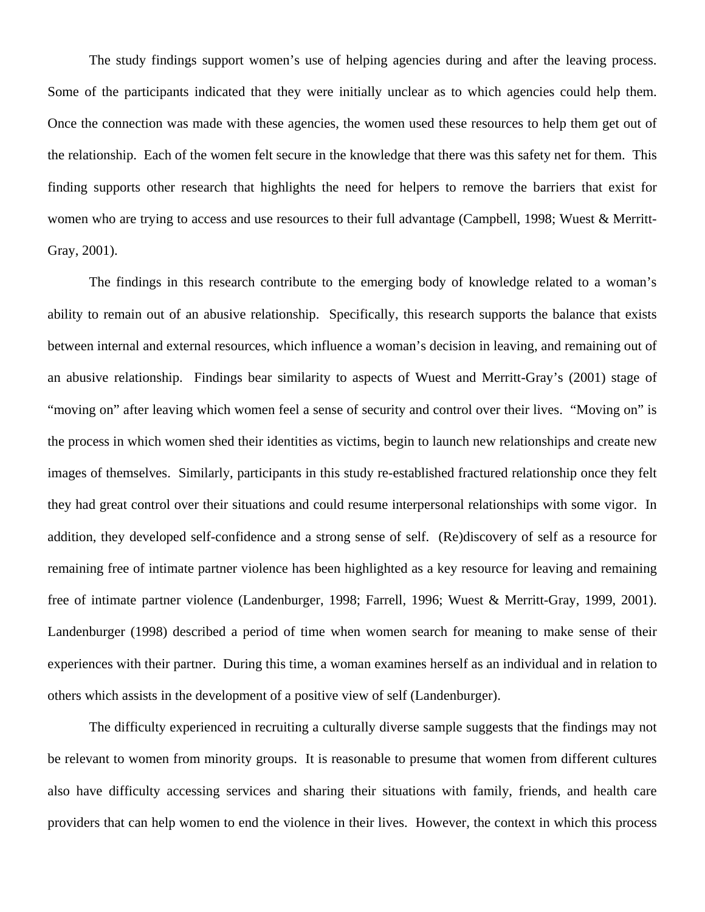The study findings support women's use of helping agencies during and after the leaving process. Some of the participants indicated that they were initially unclear as to which agencies could help them. Once the connection was made with these agencies, the women used these resources to help them get out of the relationship. Each of the women felt secure in the knowledge that there was this safety net for them. This finding supports other research that highlights the need for helpers to remove the barriers that exist for women who are trying to access and use resources to their full advantage (Campbell, 1998; Wuest & Merritt-Gray, 2001).

The findings in this research contribute to the emerging body of knowledge related to a woman's ability to remain out of an abusive relationship. Specifically, this research supports the balance that exists between internal and external resources, which influence a woman's decision in leaving, and remaining out of an abusive relationship. Findings bear similarity to aspects of Wuest and Merritt-Gray's (2001) stage of "moving on" after leaving which women feel a sense of security and control over their lives. "Moving on" is the process in which women shed their identities as victims, begin to launch new relationships and create new images of themselves. Similarly, participants in this study re-established fractured relationship once they felt they had great control over their situations and could resume interpersonal relationships with some vigor. In addition, they developed self-confidence and a strong sense of self. (Re)discovery of self as a resource for remaining free of intimate partner violence has been highlighted as a key resource for leaving and remaining free of intimate partner violence (Landenburger, 1998; Farrell, 1996; Wuest & Merritt-Gray, 1999, 2001). Landenburger (1998) described a period of time when women search for meaning to make sense of their experiences with their partner. During this time, a woman examines herself as an individual and in relation to others which assists in the development of a positive view of self (Landenburger).

The difficulty experienced in recruiting a culturally diverse sample suggests that the findings may not be relevant to women from minority groups. It is reasonable to presume that women from different cultures also have difficulty accessing services and sharing their situations with family, friends, and health care providers that can help women to end the violence in their lives. However, the context in which this process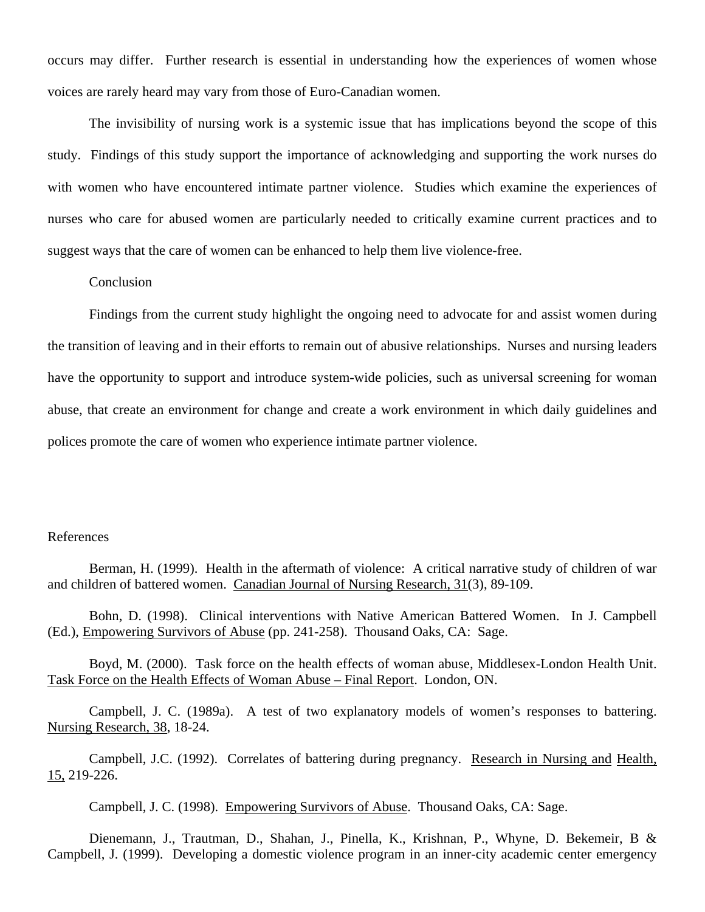occurs may differ. Further research is essential in understanding how the experiences of women whose voices are rarely heard may vary from those of Euro-Canadian women.

The invisibility of nursing work is a systemic issue that has implications beyond the scope of this study. Findings of this study support the importance of acknowledging and supporting the work nurses do with women who have encountered intimate partner violence. Studies which examine the experiences of nurses who care for abused women are particularly needed to critically examine current practices and to suggest ways that the care of women can be enhanced to help them live violence-free.

# Conclusion

Findings from the current study highlight the ongoing need to advocate for and assist women during the transition of leaving and in their efforts to remain out of abusive relationships. Nurses and nursing leaders have the opportunity to support and introduce system-wide policies, such as universal screening for woman abuse, that create an environment for change and create a work environment in which daily guidelines and polices promote the care of women who experience intimate partner violence.

### References

 Berman, H. (1999). Health in the aftermath of violence: A critical narrative study of children of war and children of battered women. Canadian Journal of Nursing Research, 31(3), 89-109.

 Bohn, D. (1998). Clinical interventions with Native American Battered Women. In J. Campbell (Ed.), Empowering Survivors of Abuse (pp. 241-258). Thousand Oaks, CA: Sage.

Boyd, M. (2000). Task force on the health effects of woman abuse, Middlesex-London Health Unit. Task Force on the Health Effects of Woman Abuse – Final Report. London, ON.

Campbell, J. C. (1989a). A test of two explanatory models of women's responses to battering. Nursing Research, 38, 18-24.

Campbell, J.C. (1992). Correlates of battering during pregnancy. Research in Nursing and Health,  $\underline{15}$ , 219-226.

Campbell, J. C. (1998). Empowering Survivors of Abuse. Thousand Oaks, CA: Sage.

Dienemann, J., Trautman, D., Shahan, J., Pinella, K., Krishnan, P., Whyne, D. Bekemeir, B & Campbell, J. (1999). Developing a domestic violence program in an inner-city academic center emergency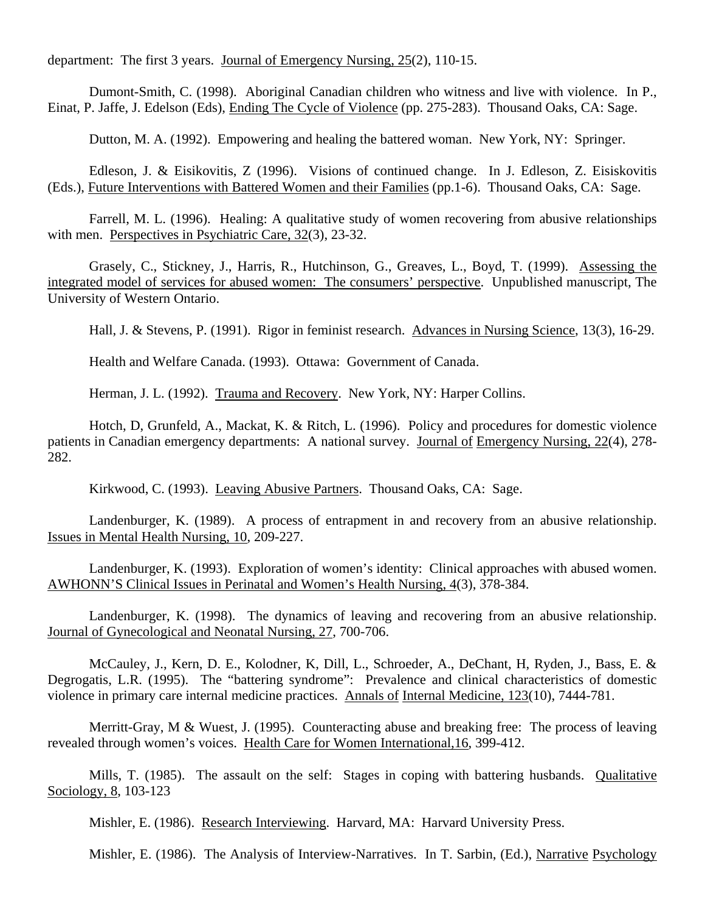department: The first 3 years. Journal of Emergency Nursing, 25(2), 110-15.

Dumont-Smith, C. (1998). Aboriginal Canadian children who witness and live with violence. In P., Einat, P. Jaffe, J. Edelson (Eds), Ending The Cycle of Violence (pp. 275-283). Thousand Oaks, CA: Sage.

Dutton, M. A. (1992). Empowering and healing the battered woman. New York, NY: Springer.

Edleson, J. & Eisikovitis, Z (1996). Visions of continued change. In J. Edleson, Z. Eisiskovitis (Eds.), Future Interventions with Battered Women and their Families (pp.1-6). Thousand Oaks, CA: Sage.

Farrell, M. L. (1996). Healing: A qualitative study of women recovering from abusive relationships with men. Perspectives in Psychiatric Care, 32(3), 23-32.

Grasely, C., Stickney, J., Harris, R., Hutchinson, G., Greaves, L., Boyd, T. (1999). Assessing the integrated model of services for abused women: The consumers' perspective. Unpublished manuscript, The University of Western Ontario.

Hall, J. & Stevens, P. (1991). Rigor in feminist research. Advances in Nursing Science, 13(3), 16-29.

Health and Welfare Canada. (1993). Ottawa: Government of Canada.

Herman, J. L. (1992). Trauma and Recovery. New York, NY: Harper Collins.

Hotch, D, Grunfeld, A., Mackat, K. & Ritch, L. (1996). Policy and procedures for domestic violence patients in Canadian emergency departments: A national survey. Journal of Emergency Nursing, 22(4), 278- 282.

Kirkwood, C. (1993). Leaving Abusive Partners. Thousand Oaks, CA: Sage.

Landenburger, K. (1989). A process of entrapment in and recovery from an abusive relationship. Issues in Mental Health Nursing, 10, 209-227.

Landenburger, K. (1993). Exploration of women's identity: Clinical approaches with abused women. AWHONN'S Clinical Issues in Perinatal and Women's Health Nursing, 4(3), 378-384.

Landenburger, K. (1998). The dynamics of leaving and recovering from an abusive relationship. Journal of Gynecological and Neonatal Nursing, 27, 700-706.

McCauley, J., Kern, D. E., Kolodner, K, Dill, L., Schroeder, A., DeChant, H, Ryden, J., Bass, E. & Degrogatis, L.R. (1995). The "battering syndrome": Prevalence and clinical characteristics of domestic violence in primary care internal medicine practices. Annals of Internal Medicine, 123(10), 7444-781.

Merritt-Gray, M & Wuest, J. (1995). Counteracting abuse and breaking free: The process of leaving revealed through women's voices. Health Care for Women International,16, 399-412.

Mills, T. (1985). The assault on the self: Stages in coping with battering husbands. Qualitative Sociology, 8, 103-123

Mishler, E. (1986). Research Interviewing. Harvard, MA: Harvard University Press.

Mishler, E. (1986). The Analysis of Interview-Narratives. In T. Sarbin, (Ed.), Narrative Psychology